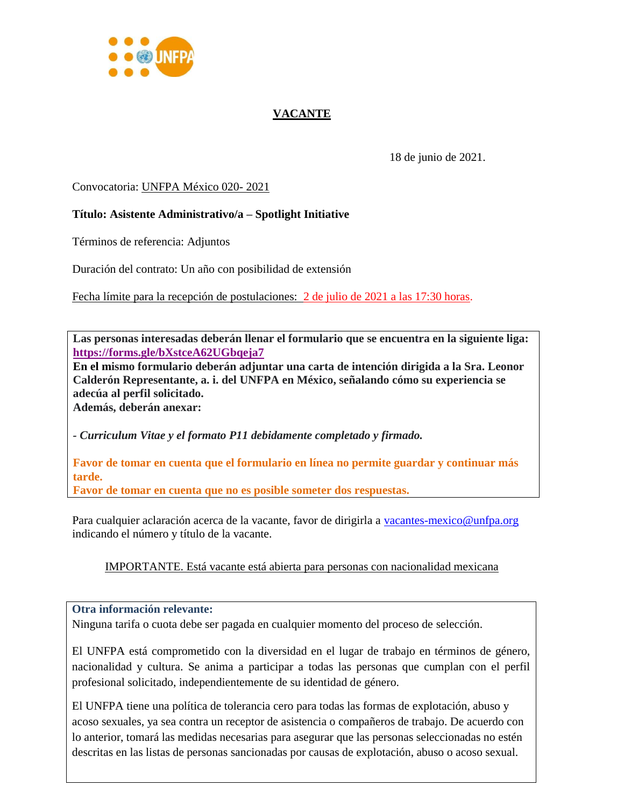

## **VACANTE**

18 de junio de 2021.

### Convocatoria: UNFPA México 020- 2021

### **Título: Asistente Administrativo/a – Spotlight Initiative**

Términos de referencia: Adjuntos

Duración del contrato: Un año con posibilidad de extensión

Fecha límite para la recepción de postulaciones: 2 de julio de 2021 a las 17:30 horas.

**Las personas interesadas deberán llenar el formulario que se encuentra en la siguiente liga: <https://forms.gle/bXstceA62UGbqeja7>**

**En el mismo formulario deberán adjuntar una carta de intención dirigida a la Sra. Leonor Calderón Representante, a. i. del UNFPA en México, señalando cómo su experiencia se adecúa al perfil solicitado.**

**Además, deberán anexar:**

*- Curriculum Vitae y el formato P11 debidamente completado y firmado.*

**Favor de tomar en cuenta que el formulario en línea no permite guardar y continuar más tarde.**

**Favor de tomar en cuenta que no es posible someter dos respuestas.**

Para cualquier aclaración acerca de la vacante, favor de dirigirla a [vacantes-mexico@unfpa.org](mailto:vacantes-mexico@unfpa.org) indicando el número y título de la vacante.

IMPORTANTE. Está vacante está abierta para personas con nacionalidad mexicana

### **Otra información relevante:**

Ninguna tarifa o cuota debe ser pagada en cualquier momento del proceso de selección.

El UNFPA está comprometido con la diversidad en el lugar de trabajo en términos de género, nacionalidad y cultura. Se anima a participar a todas las personas que cumplan con el perfil profesional solicitado, independientemente de su identidad de género.

El UNFPA tiene una política de tolerancia cero para todas las formas de explotación, abuso y acoso sexuales, ya sea contra un receptor de asistencia o compañeros de trabajo. De acuerdo con lo anterior, tomará las medidas necesarias para asegurar que las personas seleccionadas no estén descritas en las listas de personas sancionadas por causas de explotación, abuso o acoso sexual.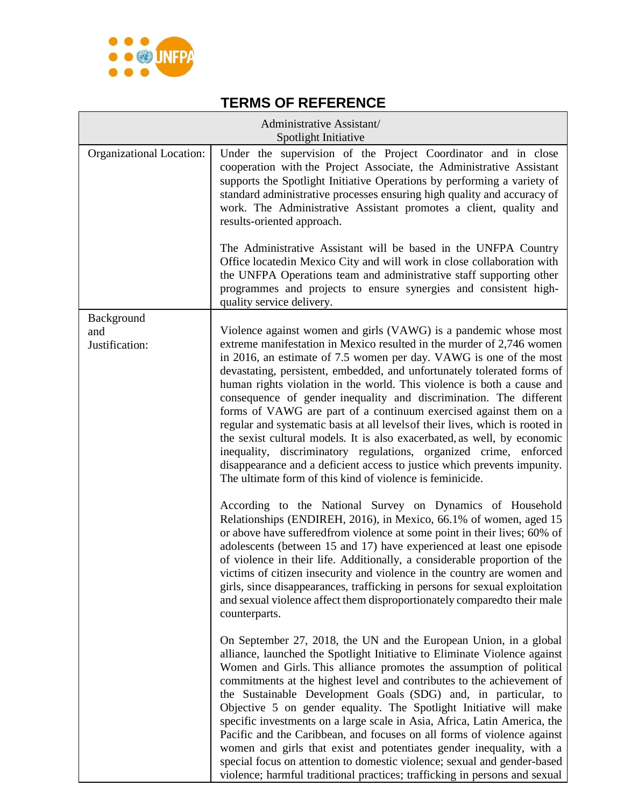

L.

| Administrative Assistant/<br>Spotlight Initiative |                                                                                                                                                                                                                                                                                                                                                                                                                                                                                                                                                                                                                                                                                                                                                                                                                                                                                                                                                         |  |
|---------------------------------------------------|---------------------------------------------------------------------------------------------------------------------------------------------------------------------------------------------------------------------------------------------------------------------------------------------------------------------------------------------------------------------------------------------------------------------------------------------------------------------------------------------------------------------------------------------------------------------------------------------------------------------------------------------------------------------------------------------------------------------------------------------------------------------------------------------------------------------------------------------------------------------------------------------------------------------------------------------------------|--|
| Organizational Location:                          | Under the supervision of the Project Coordinator and in close<br>cooperation with the Project Associate, the Administrative Assistant<br>supports the Spotlight Initiative Operations by performing a variety of<br>standard administrative processes ensuring high quality and accuracy of<br>work. The Administrative Assistant promotes a client, quality and<br>results-oriented approach.                                                                                                                                                                                                                                                                                                                                                                                                                                                                                                                                                          |  |
|                                                   | The Administrative Assistant will be based in the UNFPA Country<br>Office locatedin Mexico City and will work in close collaboration with<br>the UNFPA Operations team and administrative staff supporting other<br>programmes and projects to ensure synergies and consistent high-<br>quality service delivery.                                                                                                                                                                                                                                                                                                                                                                                                                                                                                                                                                                                                                                       |  |
| Background<br>and<br>Justification:               | Violence against women and girls (VAWG) is a pandemic whose most<br>extreme manifestation in Mexico resulted in the murder of 2,746 women<br>in 2016, an estimate of 7.5 women per day. VAWG is one of the most<br>devastating, persistent, embedded, and unfortunately tolerated forms of<br>human rights violation in the world. This violence is both a cause and<br>consequence of gender inequality and discrimination. The different<br>forms of VAWG are part of a continuum exercised against them on a<br>regular and systematic basis at all levels of their lives, which is rooted in<br>the sexist cultural models. It is also exacerbated, as well, by economic<br>inequality, discriminatory regulations, organized crime, enforced<br>disappearance and a deficient access to justice which prevents impunity.<br>The ultimate form of this kind of violence is feminicide.<br>According to the National Survey on Dynamics of Household |  |
|                                                   | Relationships (ENDIREH, 2016), in Mexico, 66.1% of women, aged 15<br>or above have suffered from violence at some point in their lives; 60% of<br>adolescents (between 15 and 17) have experienced at least one episode<br>of violence in their life. Additionally, a considerable proportion of the<br>victims of citizen insecurity and violence in the country are women and<br>girls, since disappearances, trafficking in persons for sexual exploitation<br>and sexual violence affect them disproportionately compared to their male<br>counterparts.                                                                                                                                                                                                                                                                                                                                                                                            |  |
|                                                   | On September 27, 2018, the UN and the European Union, in a global<br>alliance, launched the Spotlight Initiative to Eliminate Violence against<br>Women and Girls. This alliance promotes the assumption of political<br>commitments at the highest level and contributes to the achievement of<br>the Sustainable Development Goals (SDG) and, in particular, to<br>Objective 5 on gender equality. The Spotlight Initiative will make<br>specific investments on a large scale in Asia, Africa, Latin America, the<br>Pacific and the Caribbean, and focuses on all forms of violence against<br>women and girls that exist and potentiates gender inequality, with a<br>special focus on attention to domestic violence; sexual and gender-based<br>violence; harmful traditional practices; trafficking in persons and sexual                                                                                                                       |  |

# **TERMS OF REFERENCE**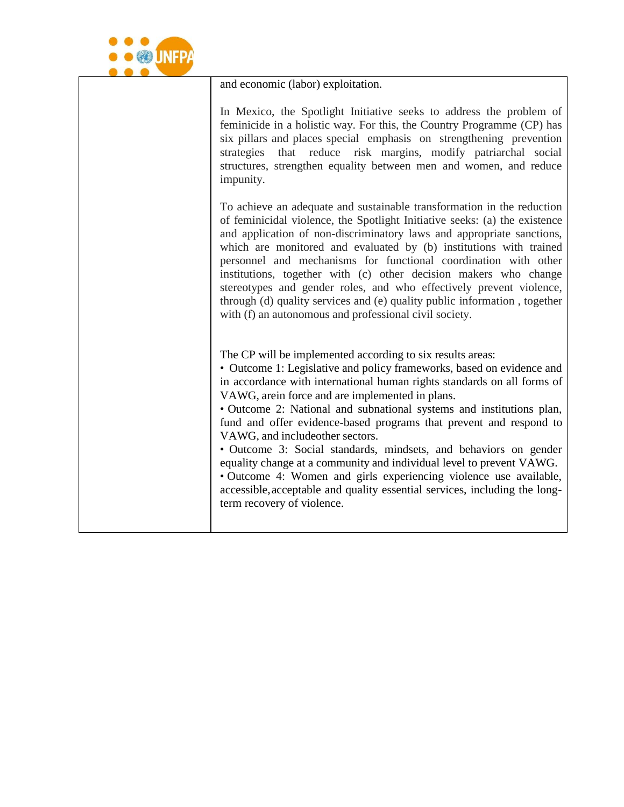

| and economic (labor) exploitation.                                                                                                                                                                                                                                                                                                                                                                                                                                                                                                                                                                                                                                                                                                                                               |
|----------------------------------------------------------------------------------------------------------------------------------------------------------------------------------------------------------------------------------------------------------------------------------------------------------------------------------------------------------------------------------------------------------------------------------------------------------------------------------------------------------------------------------------------------------------------------------------------------------------------------------------------------------------------------------------------------------------------------------------------------------------------------------|
| In Mexico, the Spotlight Initiative seeks to address the problem of<br>feminicide in a holistic way. For this, the Country Programme (CP) has<br>six pillars and places special emphasis on strengthening prevention<br>strategies that reduce risk margins, modify patriarchal social<br>structures, strengthen equality between men and women, and reduce<br>impunity.                                                                                                                                                                                                                                                                                                                                                                                                         |
| To achieve an adequate and sustainable transformation in the reduction<br>of feminicidal violence, the Spotlight Initiative seeks: (a) the existence<br>and application of non-discriminatory laws and appropriate sanctions,<br>which are monitored and evaluated by (b) institutions with trained<br>personnel and mechanisms for functional coordination with other<br>institutions, together with (c) other decision makers who change<br>stereotypes and gender roles, and who effectively prevent violence,<br>through (d) quality services and (e) quality public information, together<br>with (f) an autonomous and professional civil society.                                                                                                                         |
| The CP will be implemented according to six results areas:<br>• Outcome 1: Legislative and policy frameworks, based on evidence and<br>in accordance with international human rights standards on all forms of<br>VAWG, arein force and are implemented in plans.<br>• Outcome 2: National and subnational systems and institutions plan,<br>fund and offer evidence-based programs that prevent and respond to<br>VAWG, and include other sectors.<br>• Outcome 3: Social standards, mindsets, and behaviors on gender<br>equality change at a community and individual level to prevent VAWG.<br>• Outcome 4: Women and girls experiencing violence use available,<br>accessible, acceptable and quality essential services, including the long-<br>term recovery of violence. |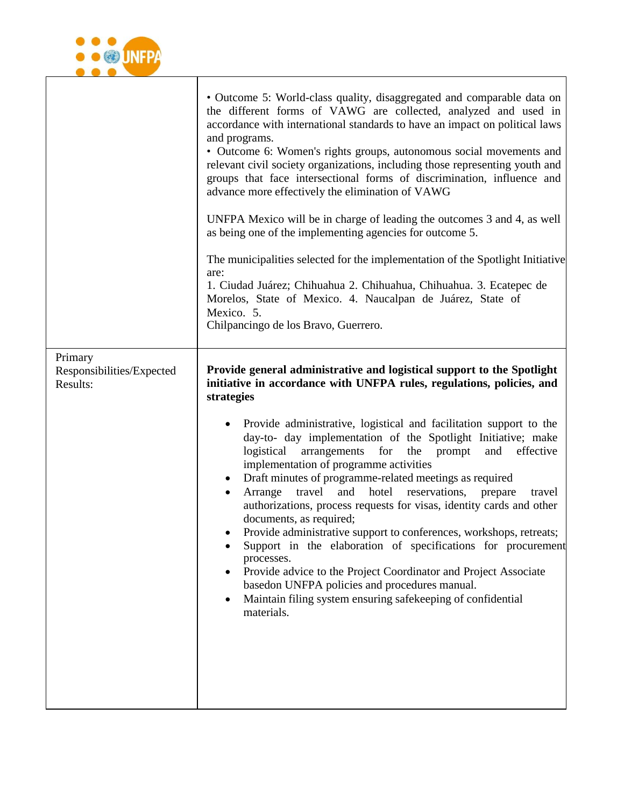

 $\overline{\Gamma}$ 

|                                                  | • Outcome 5: World-class quality, disaggregated and comparable data on<br>the different forms of VAWG are collected, analyzed and used in<br>accordance with international standards to have an impact on political laws<br>and programs.<br>• Outcome 6: Women's rights groups, autonomous social movements and<br>relevant civil society organizations, including those representing youth and<br>groups that face intersectional forms of discrimination, influence and<br>advance more effectively the elimination of VAWG<br>UNFPA Mexico will be in charge of leading the outcomes 3 and 4, as well<br>as being one of the implementing agencies for outcome 5.<br>The municipalities selected for the implementation of the Spotlight Initiative<br>are:<br>1. Ciudad Juárez; Chihuahua 2. Chihuahua, Chihuahua. 3. Ecatepec de<br>Morelos, State of Mexico. 4. Naucalpan de Juárez, State of<br>Mexico. 5.<br>Chilpancingo de los Bravo, Guerrero.                                                                                            |
|--------------------------------------------------|-------------------------------------------------------------------------------------------------------------------------------------------------------------------------------------------------------------------------------------------------------------------------------------------------------------------------------------------------------------------------------------------------------------------------------------------------------------------------------------------------------------------------------------------------------------------------------------------------------------------------------------------------------------------------------------------------------------------------------------------------------------------------------------------------------------------------------------------------------------------------------------------------------------------------------------------------------------------------------------------------------------------------------------------------------|
| Primary<br>Responsibilities/Expected<br>Results: | Provide general administrative and logistical support to the Spotlight<br>initiative in accordance with UNFPA rules, regulations, policies, and<br>strategies<br>Provide administrative, logistical and facilitation support to the<br>day-to- day implementation of the Spotlight Initiative; make<br>arrangements<br>for<br>prompt<br>and<br>logistical<br>the<br>effective<br>implementation of programme activities<br>Draft minutes of programme-related meetings as required<br>$\bullet$<br>travel<br>and<br>hotel<br>reservations,<br>Arrange<br>prepare<br>travel<br>$\bullet$<br>authorizations, process requests for visas, identity cards and other<br>documents, as required;<br>Provide administrative support to conferences, workshops, retreats;<br>Support in the elaboration of specifications for procurement<br>processes.<br>Provide advice to the Project Coordinator and Project Associate<br>basedon UNFPA policies and procedures manual.<br>Maintain filing system ensuring safekeeping of confidential<br>٠<br>materials. |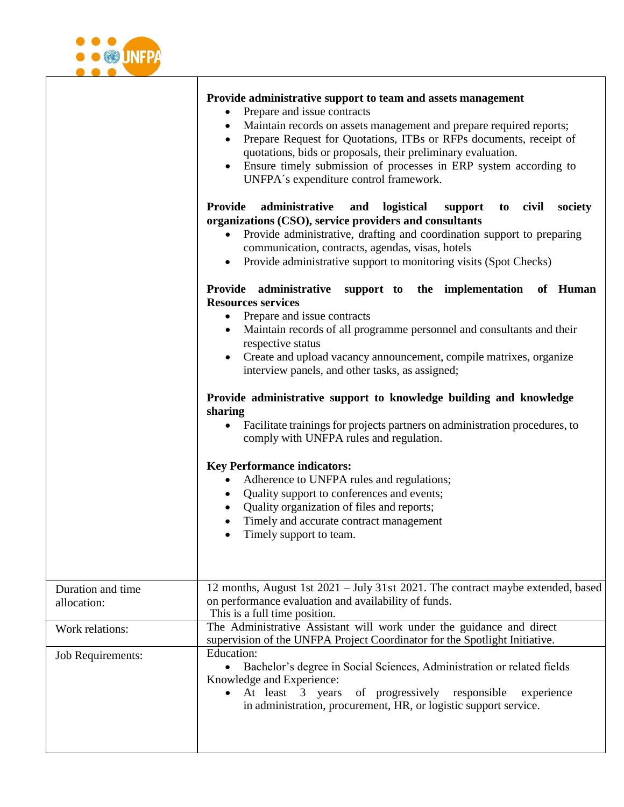

 $\overline{\Gamma}$ 

|                   | Provide administrative support to team and assets management<br>Prepare and issue contracts<br>$\bullet$<br>Maintain records on assets management and prepare required reports;<br>$\bullet$<br>Prepare Request for Quotations, ITBs or RFPs documents, receipt of<br>quotations, bids or proposals, their preliminary evaluation.<br>Ensure timely submission of processes in ERP system according to<br>UNFPA's expenditure control framework. |
|-------------------|--------------------------------------------------------------------------------------------------------------------------------------------------------------------------------------------------------------------------------------------------------------------------------------------------------------------------------------------------------------------------------------------------------------------------------------------------|
|                   | administrative<br><b>Provide</b><br>logistical<br>to civil<br>society<br>and<br>support<br>organizations (CSO), service providers and consultants<br>Provide administrative, drafting and coordination support to preparing<br>communication, contracts, agendas, visas, hotels<br>Provide administrative support to monitoring visits (Spot Checks)<br>$\bullet$                                                                                |
|                   | Provide administrative support to the implementation of Human                                                                                                                                                                                                                                                                                                                                                                                    |
|                   | <b>Resources services</b>                                                                                                                                                                                                                                                                                                                                                                                                                        |
|                   | Prepare and issue contracts<br>$\bullet$<br>Maintain records of all programme personnel and consultants and their<br>$\bullet$<br>respective status<br>Create and upload vacancy announcement, compile matrixes, organize<br>interview panels, and other tasks, as assigned;                                                                                                                                                                     |
|                   | Provide administrative support to knowledge building and knowledge                                                                                                                                                                                                                                                                                                                                                                               |
|                   | sharing                                                                                                                                                                                                                                                                                                                                                                                                                                          |
|                   | Facilitate trainings for projects partners on administration procedures, to<br>٠<br>comply with UNFPA rules and regulation.                                                                                                                                                                                                                                                                                                                      |
|                   | <b>Key Performance indicators:</b><br>Adherence to UNFPA rules and regulations;                                                                                                                                                                                                                                                                                                                                                                  |
|                   | Quality support to conferences and events;                                                                                                                                                                                                                                                                                                                                                                                                       |
|                   | Quality organization of files and reports;<br>$\bullet$                                                                                                                                                                                                                                                                                                                                                                                          |
|                   | Timely and accurate contract management                                                                                                                                                                                                                                                                                                                                                                                                          |
|                   | Timely support to team.                                                                                                                                                                                                                                                                                                                                                                                                                          |
| Duration and time | 12 months, August 1st 2021 - July 31st 2021. The contract maybe extended, based                                                                                                                                                                                                                                                                                                                                                                  |
| allocation:       | on performance evaluation and availability of funds.<br>This is a full time position.                                                                                                                                                                                                                                                                                                                                                            |
| Work relations:   | The Administrative Assistant will work under the guidance and direct<br>supervision of the UNFPA Project Coordinator for the Spotlight Initiative.                                                                                                                                                                                                                                                                                               |
| Job Requirements: | Education:<br>Bachelor's degree in Social Sciences, Administration or related fields<br>$\bullet$<br>Knowledge and Experience:<br>of progressively responsible<br>At least 3 years<br>experience<br>$\bullet$<br>in administration, procurement, HR, or logistic support service.                                                                                                                                                                |
|                   |                                                                                                                                                                                                                                                                                                                                                                                                                                                  |